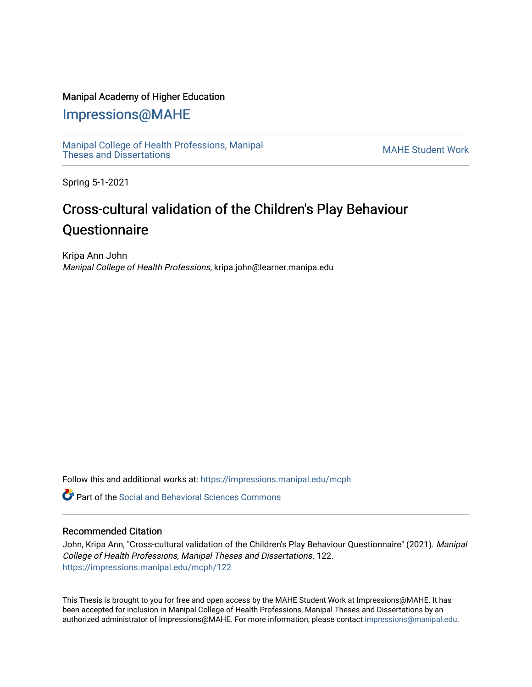### Manipal Academy of Higher Education

## [Impressions@MAHE](https://impressions.manipal.edu/)

[Manipal College of Health Professions, Manipal](https://impressions.manipal.edu/mcph) [Theses and Dissertations](https://impressions.manipal.edu/mcph)<br>Theses and Dissertations

Spring 5-1-2021

# Cross-cultural validation of the Children's Play Behaviour Questionnaire

Kripa Ann John Manipal College of Health Professions, kripa.john@learner.manipa.edu

Follow this and additional works at: [https://impressions.manipal.edu/mcph](https://impressions.manipal.edu/mcph?utm_source=impressions.manipal.edu%2Fmcph%2F122&utm_medium=PDF&utm_campaign=PDFCoverPages)

**C** Part of the Social and Behavioral Sciences Commons

#### Recommended Citation

John, Kripa Ann, "Cross-cultural validation of the Children's Play Behaviour Questionnaire" (2021). Manipal College of Health Professions, Manipal Theses and Dissertations. 122. [https://impressions.manipal.edu/mcph/122](https://impressions.manipal.edu/mcph/122?utm_source=impressions.manipal.edu%2Fmcph%2F122&utm_medium=PDF&utm_campaign=PDFCoverPages)

This Thesis is brought to you for free and open access by the MAHE Student Work at Impressions@MAHE. It has been accepted for inclusion in Manipal College of Health Professions, Manipal Theses and Dissertations by an authorized administrator of Impressions@MAHE. For more information, please contact [impressions@manipal.edu](mailto:impressions@manipal.edu).